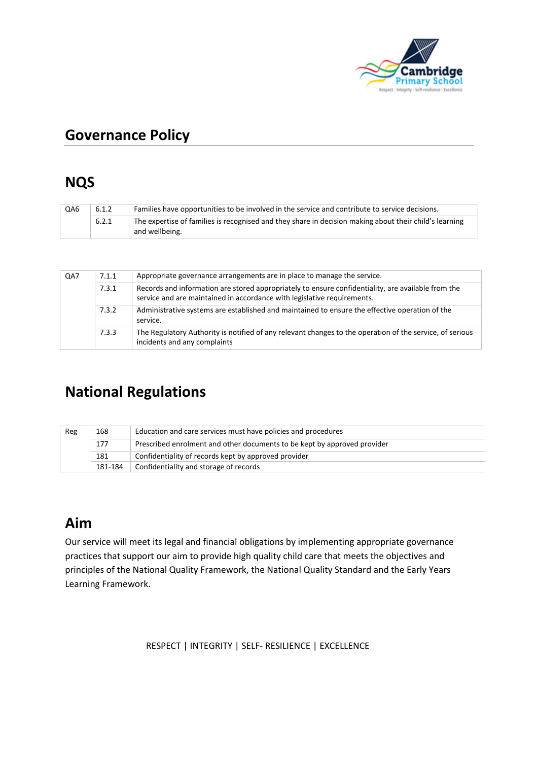

# **Governance Policy**

### **NQS**

| QA6 | 6.1.2 | Families have opportunities to be involved in the service and contribute to service decisions.                           |  |
|-----|-------|--------------------------------------------------------------------------------------------------------------------------|--|
|     | 6.2.1 | The expertise of families is recognised and they share in decision making about their child's learning<br>and wellbeing. |  |

| QA7 | 7.1.1 | Appropriate governance arrangements are in place to manage the service.                                                                                                       |  |  |
|-----|-------|-------------------------------------------------------------------------------------------------------------------------------------------------------------------------------|--|--|
|     | 7.3.1 | Records and information are stored appropriately to ensure confidentiality, are available from the<br>service and are maintained in accordance with legislative requirements. |  |  |
|     | 7.3.2 | Administrative systems are established and maintained to ensure the effective operation of the<br>service.                                                                    |  |  |
|     | 7.3.3 | The Regulatory Authority is notified of any relevant changes to the operation of the service, of serious<br>incidents and any complaints                                      |  |  |

# **National Regulations**

| Reg | Education and care services must have policies and procedures<br>168 |                                                                          |  |  |
|-----|----------------------------------------------------------------------|--------------------------------------------------------------------------|--|--|
|     | 177                                                                  | Prescribed enrolment and other documents to be kept by approved provider |  |  |
|     | 181                                                                  | Confidentiality of records kept by approved provider                     |  |  |
|     | 181-184                                                              | Confidentiality and storage of records                                   |  |  |

# **Aim**

Our service will meet its legal and financial obligations by implementing appropriate governance practices that support our aim to provide high quality child care that meets the objectives and principles of the National Quality Framework, the National Quality Standard and the Early Years Learning Framework.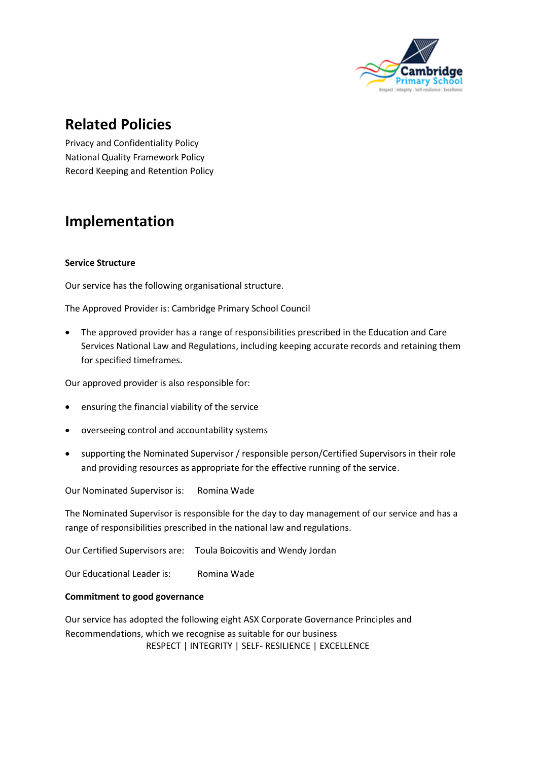

## **Related Policies**

Privacy and Confidentiality Policy National Quality Framework Policy Record Keeping and Retention Policy

# **Implementation**

#### **Service Structure**

Our service has the following organisational structure.

The Approved Provider is: Cambridge Primary School Council

• The approved provider has a range of responsibilities prescribed in the Education and Care Services National Law and Regulations, including keeping accurate records and retaining them for specified timeframes.

Our approved provider is also responsible for:

- ensuring the financial viability of the service
- overseeing control and accountability systems
- supporting the Nominated Supervisor / responsible person/Certified Supervisors in their role and providing resources as appropriate for the effective running of the service.

Our Nominated Supervisor is: Romina Wade

The Nominated Supervisor is responsible for the day to day management of our service and has a range of responsibilities prescribed in the national law and regulations.

Our Certified Supervisors are: Toula Boicovitis and Wendy Jordan

Our Educational Leader is: Romina Wade

#### **Commitment to good governance**

 RESPECT | INTEGRITY | SELF- RESILIENCE | EXCELLENCE Our service has adopted the following eight ASX Corporate Governance Principles and Recommendations, which we recognise as suitable for our business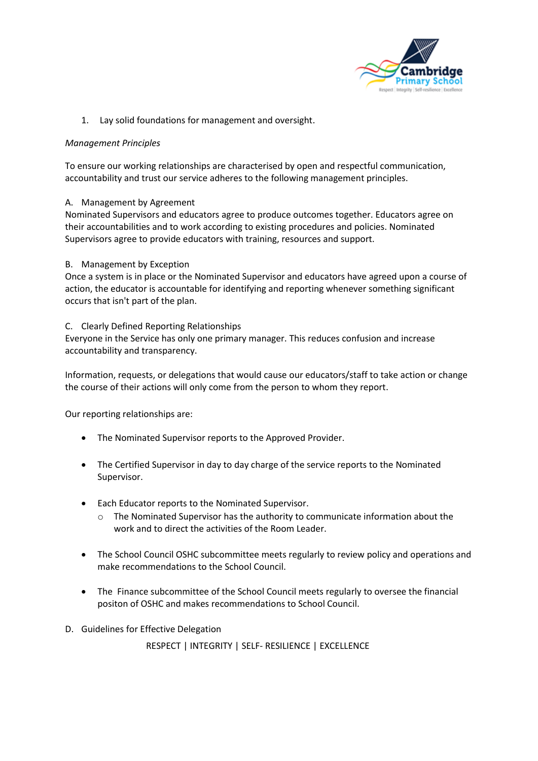

1. Lay solid foundations for management and oversight.

#### *Management Principles*

To ensure our working relationships are characterised by open and respectful communication, accountability and trust our service adheres to the following management principles.

#### A. Management by Agreement

Nominated Supervisors and educators agree to produce outcomes together. Educators agree on their accountabilities and to work according to existing procedures and policies. Nominated Supervisors agree to provide educators with training, resources and support.

#### B. Management by Exception

Once a system is in place or the Nominated Supervisor and educators have agreed upon a course of action, the educator is accountable for identifying and reporting whenever something significant occurs that isn't part of the plan.

#### C. Clearly Defined Reporting Relationships

Everyone in the Service has only one primary manager. This reduces confusion and increase accountability and transparency.

Information, requests, or delegations that would cause our educators/staff to take action or change the course of their actions will only come from the person to whom they report.

Our reporting relationships are:

- The Nominated Supervisor reports to the Approved Provider.
- The Certified Supervisor in day to day charge of the service reports to the Nominated Supervisor.
- Each Educator reports to the Nominated Supervisor.
	- o The Nominated Supervisor has the authority to communicate information about the work and to direct the activities of the Room Leader.
- The School Council OSHC subcommittee meets regularly to review policy and operations and make recommendations to the School Council.
- The Finance subcommittee of the School Council meets regularly to oversee the financial positon of OSHC and makes recommendations to School Council.
- D. Guidelines for Effective Delegation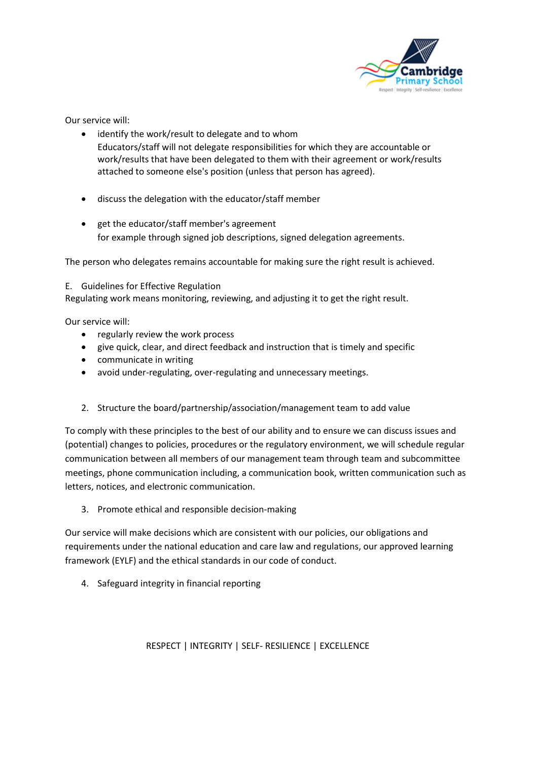

Our service will:

- identify the work/result to delegate and to whom Educators/staff will not delegate responsibilities for which they are accountable or work/results that have been delegated to them with their agreement or work/results attached to someone else's position (unless that person has agreed).
- discuss the delegation with the educator/staff member
- get the educator/staff member's agreement for example through signed job descriptions, signed delegation agreements.

The person who delegates remains accountable for making sure the right result is achieved.

#### E. Guidelines for Effective Regulation

Regulating work means monitoring, reviewing, and adjusting it to get the right result.

Our service will:

- regularly review the work process
- give quick, clear, and direct feedback and instruction that is timely and specific
- communicate in writing
- avoid under-regulating, over-regulating and unnecessary meetings.
- 2. Structure the board/partnership/association/management team to add value

To comply with these principles to the best of our ability and to ensure we can discuss issues and (potential) changes to policies, procedures or the regulatory environment, we will schedule regular communication between all members of our management team through team and subcommittee meetings, phone communication including, a communication book, written communication such as letters, notices, and electronic communication.

3. Promote ethical and responsible decision-making

Our service will make decisions which are consistent with our policies, our obligations and requirements under the national education and care law and regulations, our approved learning framework (EYLF) and the ethical standards in our code of conduct.

4. Safeguard integrity in financial reporting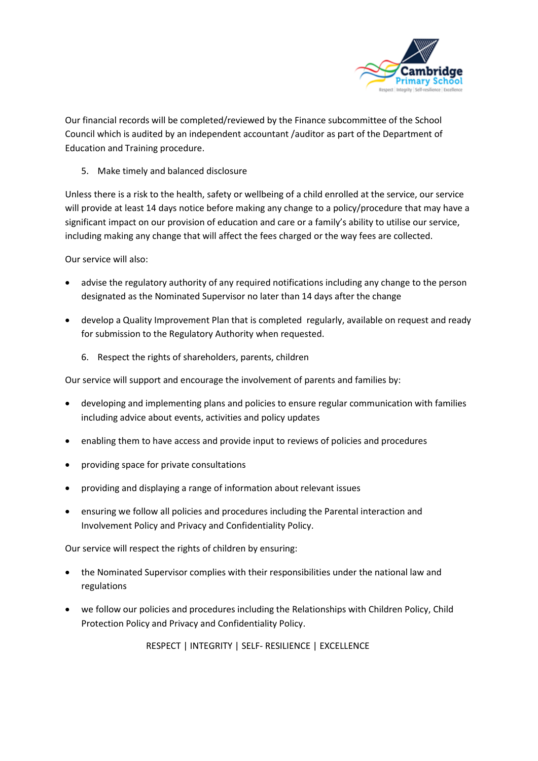

Our financial records will be completed/reviewed by the Finance subcommittee of the School Council which is audited by an independent accountant /auditor as part of the Department of Education and Training procedure.

5. Make timely and balanced disclosure

Unless there is a risk to the health, safety or wellbeing of a child enrolled at the service, our service will provide at least 14 days notice before making any change to a policy/procedure that may have a significant impact on our provision of education and care or a family's ability to utilise our service, including making any change that will affect the fees charged or the way fees are collected.

Our service will also:

- advise the regulatory authority of any required notifications including any change to the person designated as the Nominated Supervisor no later than 14 days after the change
- develop a Quality Improvement Plan that is completed regularly, available on request and ready for submission to the Regulatory Authority when requested.
	- 6. Respect the rights of shareholders, parents, children

Our service will support and encourage the involvement of parents and families by:

- developing and implementing plans and policies to ensure regular communication with families including advice about events, activities and policy updates
- enabling them to have access and provide input to reviews of policies and procedures
- providing space for private consultations
- providing and displaying a range of information about relevant issues
- ensuring we follow all policies and procedures including the Parental interaction and Involvement Policy and Privacy and Confidentiality Policy.

Our service will respect the rights of children by ensuring:

- the Nominated Supervisor complies with their responsibilities under the national law and regulations
- we follow our policies and procedures including the Relationships with Children Policy, Child Protection Policy and Privacy and Confidentiality Policy.